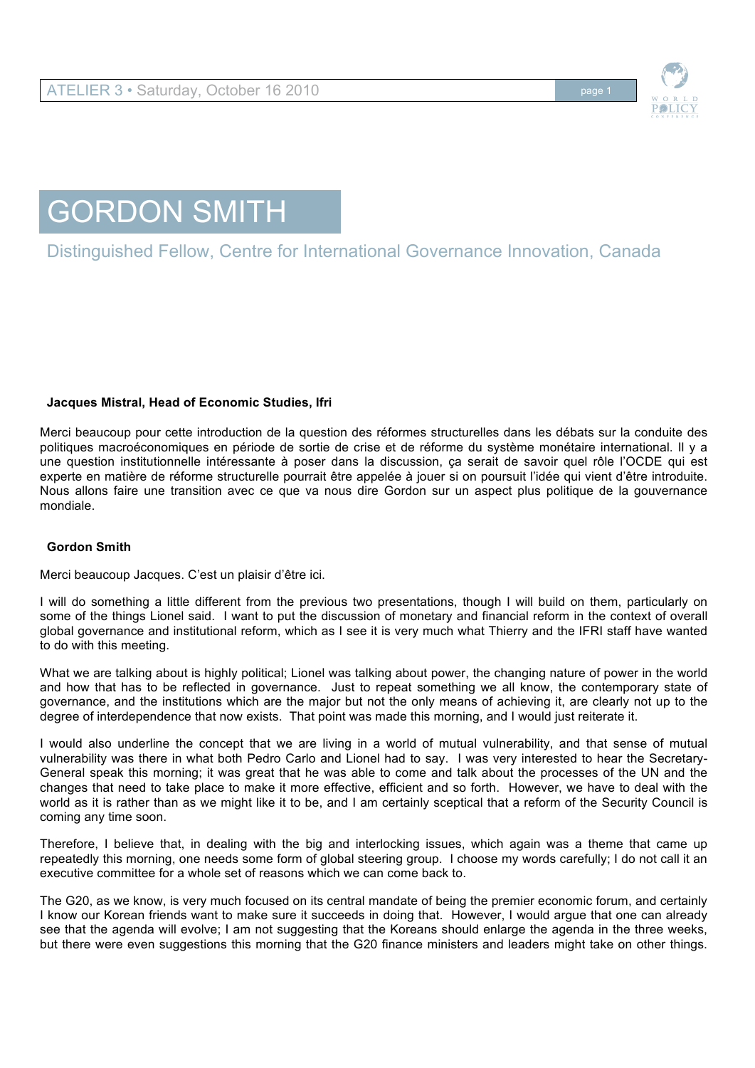

## GORDON SMITH

Distinguished Fellow, Centre for International Governance Innovation, Canada

## **Jacques Mistral, Head of Economic Studies, Ifri**

Merci beaucoup pour cette introduction de la question des réformes structurelles dans les débats sur la conduite des politiques macroéconomiques en période de sortie de crise et de réforme du système monétaire international. Il y a une question institutionnelle intéressante à poser dans la discussion, ça serait de savoir quel rôle l'OCDE qui est experte en matière de réforme structurelle pourrait être appelée à jouer si on poursuit l'idée qui vient d'être introduite. Nous allons faire une transition avec ce que va nous dire Gordon sur un aspect plus politique de la gouvernance mondiale.

## **Gordon Smith**

Merci beaucoup Jacques. C'est un plaisir d'être ici.

I will do something a little different from the previous two presentations, though I will build on them, particularly on some of the things Lionel said. I want to put the discussion of monetary and financial reform in the context of overall global governance and institutional reform, which as I see it is very much what Thierry and the IFRI staff have wanted to do with this meeting.

What we are talking about is highly political; Lionel was talking about power, the changing nature of power in the world and how that has to be reflected in governance. Just to repeat something we all know, the contemporary state of governance, and the institutions which are the major but not the only means of achieving it, are clearly not up to the degree of interdependence that now exists. That point was made this morning, and I would just reiterate it.

I would also underline the concept that we are living in a world of mutual vulnerability, and that sense of mutual vulnerability was there in what both Pedro Carlo and Lionel had to say. I was very interested to hear the Secretary-General speak this morning; it was great that he was able to come and talk about the processes of the UN and the changes that need to take place to make it more effective, efficient and so forth. However, we have to deal with the world as it is rather than as we might like it to be, and I am certainly sceptical that a reform of the Security Council is coming any time soon.

Therefore, I believe that, in dealing with the big and interlocking issues, which again was a theme that came up repeatedly this morning, one needs some form of global steering group. I choose my words carefully; I do not call it an executive committee for a whole set of reasons which we can come back to.

The G20, as we know, is very much focused on its central mandate of being the premier economic forum, and certainly I know our Korean friends want to make sure it succeeds in doing that. However, I would argue that one can already see that the agenda will evolve; I am not suggesting that the Koreans should enlarge the agenda in the three weeks, but there were even suggestions this morning that the G20 finance ministers and leaders might take on other things.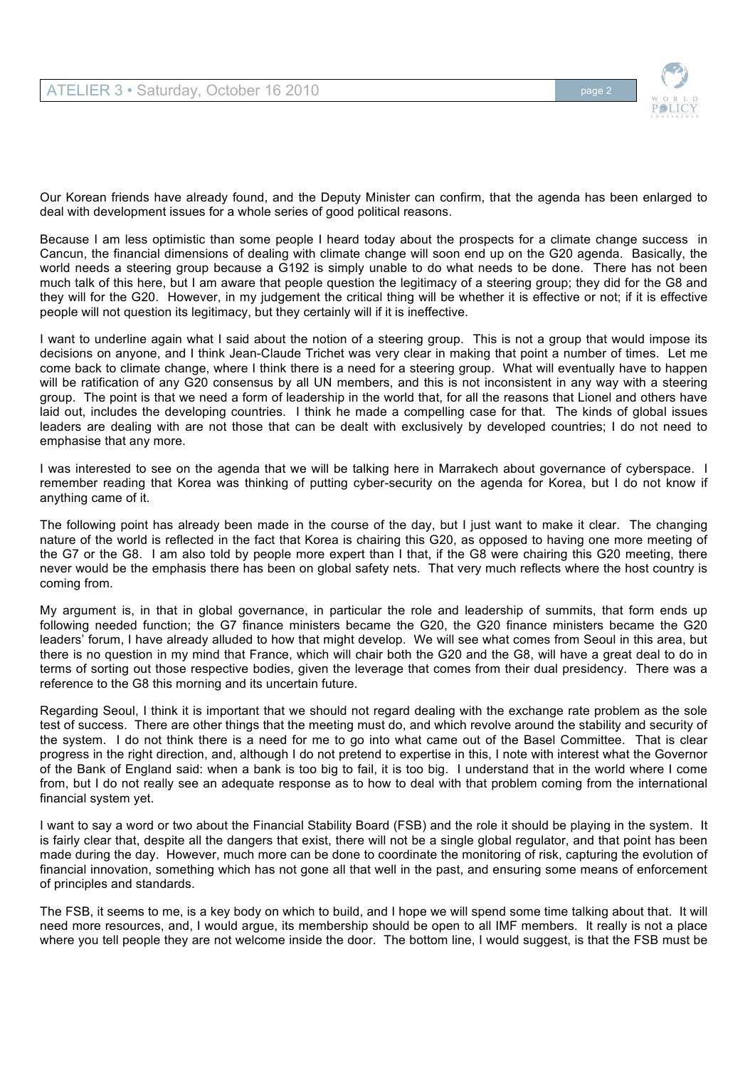

Our Korean friends have already found, and the Deputy Minister can confirm, that the agenda has been enlarged to deal with development issues for a whole series of good political reasons.

Because I am less optimistic than some people I heard today about the prospects for a climate change success in Cancun, the financial dimensions of dealing with climate change will soon end up on the G20 agenda. Basically, the world needs a steering group because a G192 is simply unable to do what needs to be done. There has not been much talk of this here, but I am aware that people question the legitimacy of a steering group; they did for the G8 and they will for the G20. However, in my judgement the critical thing will be whether it is effective or not; if it is effective people will not question its legitimacy, but they certainly will if it is ineffective.

I want to underline again what I said about the notion of a steering group. This is not a group that would impose its decisions on anyone, and I think Jean-Claude Trichet was very clear in making that point a number of times. Let me come back to climate change, where I think there is a need for a steering group. What will eventually have to happen will be ratification of any G20 consensus by all UN members, and this is not inconsistent in any way with a steering group. The point is that we need a form of leadership in the world that, for all the reasons that Lionel and others have laid out, includes the developing countries. I think he made a compelling case for that. The kinds of global issues leaders are dealing with are not those that can be dealt with exclusively by developed countries; I do not need to emphasise that any more.

I was interested to see on the agenda that we will be talking here in Marrakech about governance of cyberspace. I remember reading that Korea was thinking of putting cyber-security on the agenda for Korea, but I do not know if anything came of it.

The following point has already been made in the course of the day, but I just want to make it clear. The changing nature of the world is reflected in the fact that Korea is chairing this G20, as opposed to having one more meeting of the G7 or the G8. I am also told by people more expert than I that, if the G8 were chairing this G20 meeting, there never would be the emphasis there has been on global safety nets. That very much reflects where the host country is coming from.

My argument is, in that in global governance, in particular the role and leadership of summits, that form ends up following needed function; the G7 finance ministers became the G20, the G20 finance ministers became the G20 leaders' forum, I have already alluded to how that might develop. We will see what comes from Seoul in this area, but there is no question in my mind that France, which will chair both the G20 and the G8, will have a great deal to do in terms of sorting out those respective bodies, given the leverage that comes from their dual presidency. There was a reference to the G8 this morning and its uncertain future.

Regarding Seoul, I think it is important that we should not regard dealing with the exchange rate problem as the sole test of success. There are other things that the meeting must do, and which revolve around the stability and security of the system. I do not think there is a need for me to go into what came out of the Basel Committee. That is clear progress in the right direction, and, although I do not pretend to expertise in this, I note with interest what the Governor of the Bank of England said: when a bank is too big to fail, it is too big. I understand that in the world where I come from, but I do not really see an adequate response as to how to deal with that problem coming from the international financial system yet.

I want to say a word or two about the Financial Stability Board (FSB) and the role it should be playing in the system. It is fairly clear that, despite all the dangers that exist, there will not be a single global regulator, and that point has been made during the day. However, much more can be done to coordinate the monitoring of risk, capturing the evolution of financial innovation, something which has not gone all that well in the past, and ensuring some means of enforcement of principles and standards.

The FSB, it seems to me, is a key body on which to build, and I hope we will spend some time talking about that. It will need more resources, and, I would argue, its membership should be open to all IMF members. It really is not a place where you tell people they are not welcome inside the door. The bottom line, I would suggest, is that the FSB must be